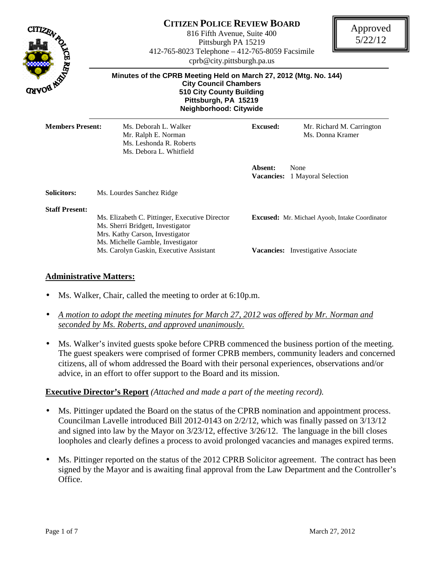

# **CITIZEN POLICE REVIEW BOARD**

816 Fifth Avenue, Suite 400 Pittsburgh PA 15219 412-765-8023 Telephone – 412-765-8059 Facsimile cprb@city.pittsburgh.pa.us



| Minutes of the CPRB Meeting Held on March 27, 2012 (Mtg. No. 144)<br><b>City Council Chambers</b><br><b>510 City County Building</b><br>Pittsburgh, PA 15219<br>Neighborhood: Citywide                 |                              |                                                                                                    |  |
|--------------------------------------------------------------------------------------------------------------------------------------------------------------------------------------------------------|------------------------------|----------------------------------------------------------------------------------------------------|--|
| Ms. Deborah L. Walker<br>Mr. Ralph E. Norman<br>Ms. Leshonda R. Roberts<br>Ms. Debora L. Whitfield                                                                                                     | <b>Excused:</b>              | Mr. Richard M. Carrington<br>Ms. Donna Kramer                                                      |  |
|                                                                                                                                                                                                        | Absent:<br><b>Vacancies:</b> | None<br>1 Mayoral Selection                                                                        |  |
| Ms. Lourdes Sanchez Ridge                                                                                                                                                                              |                              |                                                                                                    |  |
| Ms. Elizabeth C. Pittinger, Executive Director<br>Ms. Sherri Bridgett, Investigator<br>Mrs. Kathy Carson, Investigator<br>Ms. Michelle Gamble, Investigator<br>Ms. Carolyn Gaskin, Executive Assistant |                              | <b>Excused:</b> Mr. Michael Ayoob, Intake Coordinator<br><b>Vacancies:</b> Investigative Associate |  |
|                                                                                                                                                                                                        | <b>Members Present:</b>      |                                                                                                    |  |

### **Administrative Matters:**

- Ms. Walker, Chair, called the meeting to order at 6:10p.m.
- *A motion to adopt the meeting minutes for March 27, 2012 was offered by Mr. Norman and seconded by Ms. Roberts, and approved unanimously.*
- Ms. Walker's invited guests spoke before CPRB commenced the business portion of the meeting. The guest speakers were comprised of former CPRB members, community leaders and concerned citizens, all of whom addressed the Board with their personal experiences, observations and/or advice, in an effort to offer support to the Board and its mission.

### **Executive Director's Report** *(Attached and made a part of the meeting record).*

- Ms. Pittinger updated the Board on the status of the CPRB nomination and appointment process. Councilman Lavelle introduced Bill 2012-0143 on 2/2/12, which was finally passed on 3/13/12 and signed into law by the Mayor on 3/23/12, effective 3/26/12. The language in the bill closes loopholes and clearly defines a process to avoid prolonged vacancies and manages expired terms.
- Ms. Pittinger reported on the status of the 2012 CPRB Solicitor agreement. The contract has been signed by the Mayor and is awaiting final approval from the Law Department and the Controller's Office.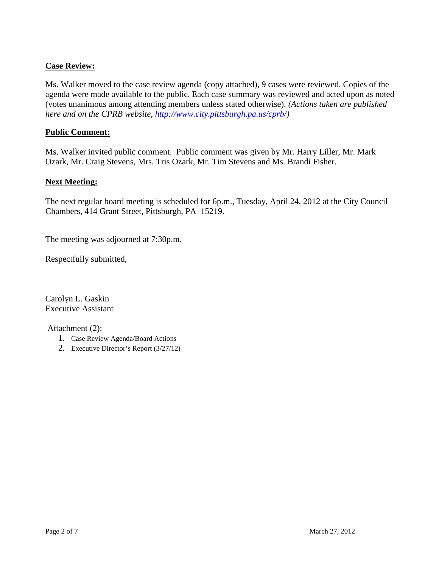# **Case Review:**

Ms. Walker moved to the case review agenda (copy attached), 9 cases were reviewed. Copies of the agenda were made available to the public. Each case summary was reviewed and acted upon as noted (votes unanimous among attending members unless stated otherwise). *(Actions taken are published here and on the CPRB website, http://www.city.pittsburgh.pa.us/cprb/)*

### **Public Comment:**

Ms. Walker invited public comment. Public comment was given by Mr. Harry Liller, Mr. Mark Ozark, Mr. Craig Stevens, Mrs. Tris Ozark, Mr. Tim Stevens and Ms. Brandi Fisher.

### **Next Meeting:**

The next regular board meeting is scheduled for 6p.m., Tuesday, April 24, 2012 at the City Council Chambers, 414 Grant Street, Pittsburgh, PA 15219.

The meeting was adjourned at 7:30p.m.

Respectfully submitted,

Carolyn L. Gaskin Executive Assistant

Attachment (2):

- 1. Case Review Agenda/Board Actions
- 2. Executive Director's Report (3/27/12)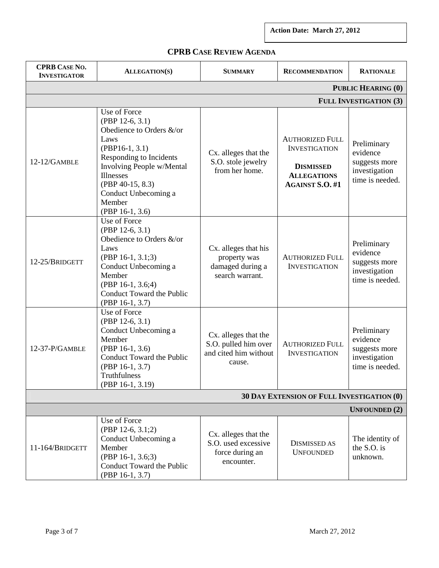**Action Date: March 27, 2012** 

|  | <b>CPRB CASE REVIEW AGENDA</b> |
|--|--------------------------------|
|--|--------------------------------|

| <b>CPRB CASE NO.</b><br><b>INVESTIGATOR</b> | <b>ALLEGATION(S)</b>                                                                                                                                                                                                                  | <b>SUMMARY</b>                                                                  | <b>RECOMMENDATION</b>                                                                                              | <b>RATIONALE</b>                                                             |  |
|---------------------------------------------|---------------------------------------------------------------------------------------------------------------------------------------------------------------------------------------------------------------------------------------|---------------------------------------------------------------------------------|--------------------------------------------------------------------------------------------------------------------|------------------------------------------------------------------------------|--|
| <b>PUBLIC HEARING (0)</b>                   |                                                                                                                                                                                                                                       |                                                                                 |                                                                                                                    |                                                                              |  |
|                                             |                                                                                                                                                                                                                                       |                                                                                 |                                                                                                                    | <b>FULL INVESTIGATION (3)</b>                                                |  |
| $12-12/GAMBLE$                              | Use of Force<br>(PBP 12-6, 3.1)<br>Obedience to Orders &/or<br>Laws<br>$(PBP16-1, 3.1)$<br>Responding to Incidents<br>Involving People w/Mental<br>Illnesses<br>(PBP 40-15, 8.3)<br>Conduct Unbecoming a<br>Member<br>(PBP 16-1, 3.6) | Cx. alleges that the<br>S.O. stole jewelry<br>from her home.                    | <b>AUTHORIZED FULL</b><br><b>INVESTIGATION</b><br><b>DISMISSED</b><br><b>ALLEGATIONS</b><br><b>AGAINST S.O. #1</b> | Preliminary<br>evidence<br>suggests more<br>investigation<br>time is needed. |  |
| 12-25/BRIDGETT                              | Use of Force<br>(PBP 12-6, 3.1)<br>Obedience to Orders &/or<br>Laws<br>$(PBP 16-1, 3.1; 3)$<br>Conduct Unbecoming a<br>Member<br>$(PBP 16-1, 3.6;4)$<br>Conduct Toward the Public<br>(PBP 16-1, 3.7)                                  | Cx. alleges that his<br>property was<br>damaged during a<br>search warrant.     | <b>AUTHORIZED FULL</b><br><b>INVESTIGATION</b>                                                                     | Preliminary<br>evidence<br>suggests more<br>investigation<br>time is needed. |  |
| 12-37-P/GAMBLE                              | Use of Force<br>(PBP 12-6, 3.1)<br>Conduct Unbecoming a<br>Member<br>(PBP 16-1, 3.6)<br>Conduct Toward the Public<br>(PBP 16-1, 3.7)<br>Truthfulness<br>(PBP 16-1, 3.19)                                                              | Cx. alleges that the<br>S.O. pulled him over<br>and cited him without<br>cause. | <b>AUTHORIZED FULL</b><br><b>INVESTIGATION</b>                                                                     | Preliminary<br>evidence<br>suggests more<br>investigation<br>time is needed. |  |
| 30 DAY EXTENSION OF FULL INVESTIGATION (0)  |                                                                                                                                                                                                                                       |                                                                                 |                                                                                                                    |                                                                              |  |
| <b>UNFOUNDED (2)</b>                        |                                                                                                                                                                                                                                       |                                                                                 |                                                                                                                    |                                                                              |  |
| 11-164/BRIDGETT                             | Use of Force<br>(PBP 12-6, 3.1;2)<br>Conduct Unbecoming a<br>Member<br>(PBP 16-1, 3.6;3)<br>Conduct Toward the Public<br>(PBP 16-1, 3.7)                                                                                              | Cx. alleges that the<br>S.O. used excessive<br>force during an<br>encounter.    | <b>DISMISSED AS</b><br><b>UNFOUNDED</b>                                                                            | The identity of<br>the S.O. is<br>unknown.                                   |  |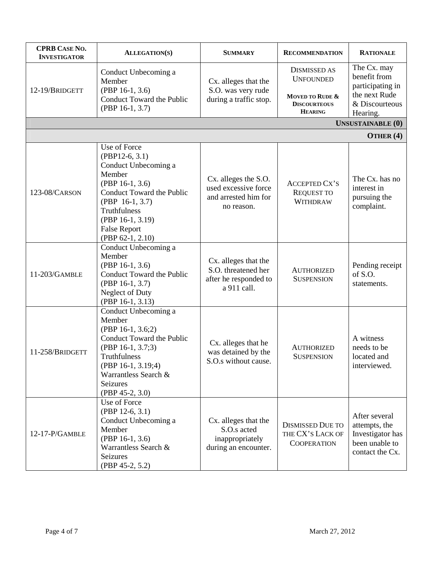| <b>CPRB CASE NO.</b><br><b>INVESTIGATOR</b> | <b>ALLEGATION(S)</b>                                                                                                                                                                                                   | <b>SUMMARY</b>                                                                      | <b>RECOMMENDATION</b>                                                                               | <b>RATIONALE</b>                                                                               |
|---------------------------------------------|------------------------------------------------------------------------------------------------------------------------------------------------------------------------------------------------------------------------|-------------------------------------------------------------------------------------|-----------------------------------------------------------------------------------------------------|------------------------------------------------------------------------------------------------|
| 12-19/BRIDGETT                              | Conduct Unbecoming a<br>Member<br>(PBP 16-1, 3.6)<br>Conduct Toward the Public<br>(PBP 16-1, 3.7)                                                                                                                      | Cx. alleges that the<br>S.O. was very rude<br>during a traffic stop.                | <b>DISMISSED AS</b><br><b>UNFOUNDED</b><br>MOVED TO RUDE &<br><b>DISCOURTEOUS</b><br><b>HEARING</b> | The Cx. may<br>benefit from<br>participating in<br>the next Rude<br>& Discourteous<br>Hearing. |
|                                             |                                                                                                                                                                                                                        |                                                                                     |                                                                                                     | <b>UNSUSTAINABLE (0)</b>                                                                       |
|                                             |                                                                                                                                                                                                                        |                                                                                     |                                                                                                     | OTHER $(4)$                                                                                    |
| 123-08/CARSON                               | Use of Force<br>$(PBP12-6, 3.1)$<br>Conduct Unbecoming a<br>Member<br>(PBP 16-1, 3.6)<br>Conduct Toward the Public<br>$(PBP 16-1, 3.7)$<br>Truthfulness<br>(PBP 16-1, 3.19)<br><b>False Report</b><br>(PBP 62-1, 2.10) | Cx. alleges the S.O.<br>used excessive force<br>and arrested him for<br>no reason.  | <b>ACCEPTED CX'S</b><br><b>REQUEST TO</b><br><b>WITHDRAW</b>                                        | The Cx. has no<br>interest in<br>pursuing the<br>complaint.                                    |
| 11-203/GAMBLE                               | Conduct Unbecoming a<br>Member<br>(PBP 16-1, 3.6)<br>Conduct Toward the Public<br>(PBP 16-1, 3.7)<br>Neglect of Duty<br>(PBP 16-1, 3.13)                                                                               | Cx. alleges that the<br>S.O. threatened her<br>after he responded to<br>a 911 call. | <b>AUTHORIZED</b><br><b>SUSPENSION</b>                                                              | Pending receipt<br>of S.O.<br>statements.                                                      |
| 11-258/BRIDGETT                             | Conduct Unbecoming a<br>Member<br>(PBP 16-1, 3.6;2)<br>Conduct Toward the Public<br>(PBP 16-1, 3.7;3)<br>Truthfulness<br>(PBP 16-1, 3.19;4)<br>Warrantless Search &<br>Seizures<br>$(PBP 45-2, 3.0)$                   | Cx. alleges that he<br>was detained by the<br>S.O.s without cause.                  | <b>AUTHORIZED</b><br><b>SUSPENSION</b>                                                              | A witness<br>needs to be<br>located and<br>interviewed.                                        |
| 12-17-P/GAMBLE                              | Use of Force<br>$(PBP 12-6, 3.1)$<br>Conduct Unbecoming a<br>Member<br>(PBP 16-1, 3.6)<br>Warrantless Search &<br>Seizures<br>(PBP 45-2, 5.2)                                                                          | Cx. alleges that the<br>S.O.s acted<br>inappropriately<br>during an encounter.      | <b>DISMISSED DUE TO</b><br>THE CX'S LACK OF<br><b>COOPERATION</b>                                   | After several<br>attempts, the<br>Investigator has<br>been unable to<br>contact the Cx.        |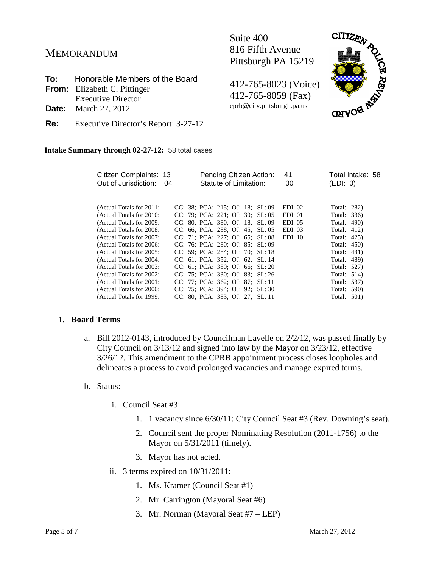# MEMORANDUM

| <b>To:</b> Honorable Members of the Board       |
|-------------------------------------------------|
| <b>From:</b> Elizabeth C. Pittinger             |
| <b>Executive Director</b>                       |
| <b>Date:</b> March 27, 2012                     |
| <b>Re:</b> Executive Director's Report: 3-27-12 |

Suite 400 816 Fifth Avenue Pittsburgh PA 15219

412-765-8023 (Voice) 412-765-8059 (Fax) cprb@city.pittsburgh.pa.us



 **Intake Summary through 02-27-12:** 58 total cases

| Citizen Complaints: 13<br>Out of Jurisdiction: | 04 | Pending Citizen Action:<br>Statute of Limitation: | 41<br>00 | Total Intake: 58<br>(EDI: 0) |
|------------------------------------------------|----|---------------------------------------------------|----------|------------------------------|
|                                                |    |                                                   |          |                              |
| (Actual Totals for 2011:                       |    | CC: 38; PCA: 215; OJ: 18; SL: 09                  | EDI: 02  | Total: 282)                  |
| (Actual Totals for 2010:                       |    | CC: 79; PCA: 221; OJ: 30; SL: 05                  | EDI: 01  | Total: 336)                  |
| (Actual Totals for 2009:                       |    | CC: 80; PCA: 380; OJ: 18; SL: 09                  | EDI: 05  | Total: 490)                  |
| (Actual Totals for 2008:                       |    | CC: 66; PCA: 288; OJ: 45; SL: 05                  | EDI: 03  | Total: 412)                  |
| (Actual Totals for 2007:                       |    | CC: 71; PCA: 227; OJ: 65; SL: 08                  | EDI: 10  | Total: 425)                  |
| (Actual Totals for 2006:                       |    | CC: 76; PCA: 280; OJ: 85; SL: 09                  |          | Total: 450)                  |
| (Actual Totals for 2005:                       |    | CC: 59; PCA: 284; OJ: 70; SL: 18                  |          | Total: 431)                  |
| (Actual Totals for 2004:                       |    | CC: 61; PCA: 352; OJ: 62; SL: 14                  |          | Total: 489)                  |
| (Actual Totals for 2003:                       |    | CC: 61: PCA: 380: OJ: 66: SL: 20                  |          | Total: 527)                  |
| (Actual Totals for 2002:                       |    | CC: 75; PCA: 330; OJ: 83; SL: 26                  |          | Total: 514)                  |
| (Actual Totals for 2001:                       |    | CC: 77; PCA: 362; OJ: 87; SL: 11                  |          | Total: 537)                  |
| (Actual Totals for 2000:                       |    | CC: 75: PCA: 394: OJ: 92: SL: 30                  |          | Total: 590)                  |
| (Actual Totals for 1999:                       |    | CC: 80: PCA: 383: OJ: 27: SL: 11                  |          | Total: 501)                  |

#### 1. **Board Terms**

a. Bill 2012-0143, introduced by Councilman Lavelle on 2/2/12, was passed finally by City Council on 3/13/12 and signed into law by the Mayor on 3/23/12, effective 3/26/12. This amendment to the CPRB appointment process closes loopholes and delineates a process to avoid prolonged vacancies and manage expired terms.

#### b. Status:

- i. Council Seat #3:
	- 1. 1 vacancy since 6/30/11: City Council Seat #3 (Rev. Downing's seat).
	- 2. Council sent the proper Nominating Resolution (2011-1756) to the Mayor on 5/31/2011 (timely).
	- 3. Mayor has not acted.
- ii. 3 terms expired on 10/31/2011:
	- 1. Ms. Kramer (Council Seat #1)
	- 2. Mr. Carrington (Mayoral Seat #6)
	- 3. Mr. Norman (Mayoral Seat #7 LEP)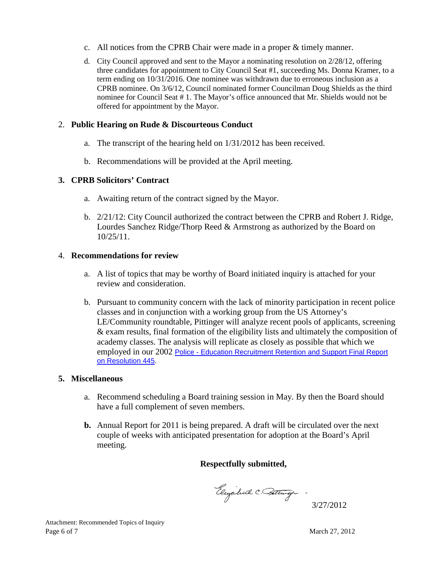- c. All notices from the CPRB Chair were made in a proper & timely manner.
- d. City Council approved and sent to the Mayor a nominating resolution on 2/28/12, offering three candidates for appointment to City Council Seat #1, succeeding Ms. Donna Kramer, to a term ending on 10/31/2016. One nominee was withdrawn due to erroneous inclusion as a CPRB nominee. On 3/6/12, Council nominated former Councilman Doug Shields as the third nominee for Council Seat # 1. The Mayor's office announced that Mr. Shields would not be offered for appointment by the Mayor.

# 2. **Public Hearing on Rude & Discourteous Conduct**

- a. The transcript of the hearing held on 1/31/2012 has been received.
- b. Recommendations will be provided at the April meeting.

# **3. CPRB Solicitors' Contract**

- a. Awaiting return of the contract signed by the Mayor.
- b. 2/21/12: City Council authorized the contract between the CPRB and Robert J. Ridge, Lourdes Sanchez Ridge/Thorp Reed & Armstrong as authorized by the Board on 10/25/11.

# 4. **Recommendations for review**

- a. A list of topics that may be worthy of Board initiated inquiry is attached for your review and consideration.
- b. Pursuant to community concern with the lack of minority participation in recent police classes and in conjunction with a working group from the US Attorney's LE/Community roundtable, Pittinger will analyze recent pools of applicants, screening & exam results, final formation of the eligibility lists and ultimately the composition of academy classes. The analysis will replicate as closely as possible that which we employed in our 2002 Police - Education Recruitment Retention and Support Final Report on Resolution 445.

### **5. Miscellaneous**

- a. Recommend scheduling a Board training session in May. By then the Board should have a full complement of seven members.
- **b.** Annual Report for 2011 is being prepared. A draft will be circulated over the next couple of weeks with anticipated presentation for adoption at the Board's April meeting.

# **Respectfully submitted,**

Eleyabuth C. Bettinger.

3/27/2012